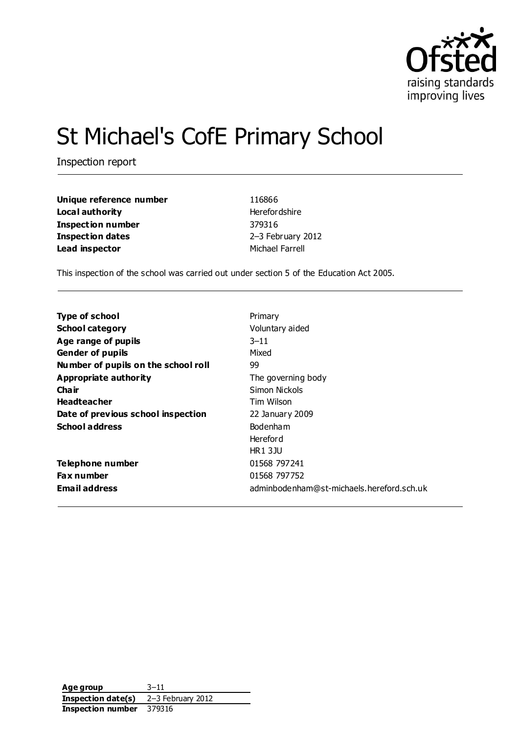

# St Michael's CofE Primary School

Inspection report

| Unique reference number | 116866               |
|-------------------------|----------------------|
| Local authority         | <b>Herefordshire</b> |
| Inspection number       | 379316               |
| <b>Inspection dates</b> | 2-3 February 2012    |
| Lead inspector          | Michael Farrell      |

This inspection of the school was carried out under section 5 of the Education Act 2005.

| <b>Type of school</b>               | Primary                                   |
|-------------------------------------|-------------------------------------------|
| <b>School category</b>              | Voluntary aided                           |
| Age range of pupils                 | $3 - 11$                                  |
| <b>Gender of pupils</b>             | Mixed                                     |
| Number of pupils on the school roll | 99                                        |
| <b>Appropriate authority</b>        | The governing body                        |
| Cha ir                              | Simon Nickols                             |
| <b>Headteacher</b>                  | Tim Wilson                                |
| Date of previous school inspection  | 22 January 2009                           |
| <b>School address</b>               | <b>Bodenham</b>                           |
|                                     | <b>Hereford</b>                           |
|                                     | <b>HR13JU</b>                             |
| <b>Telephone number</b>             | 01568 797241                              |
| <b>Fax number</b>                   | 01568 797752                              |
| <b>Email address</b>                | adminbodenham@st-michaels.hereford.sch.uk |

| Age group          | $3 - 11$          |
|--------------------|-------------------|
| Inspection date(s) | 2-3 February 2012 |
| Inspection number  | 379316            |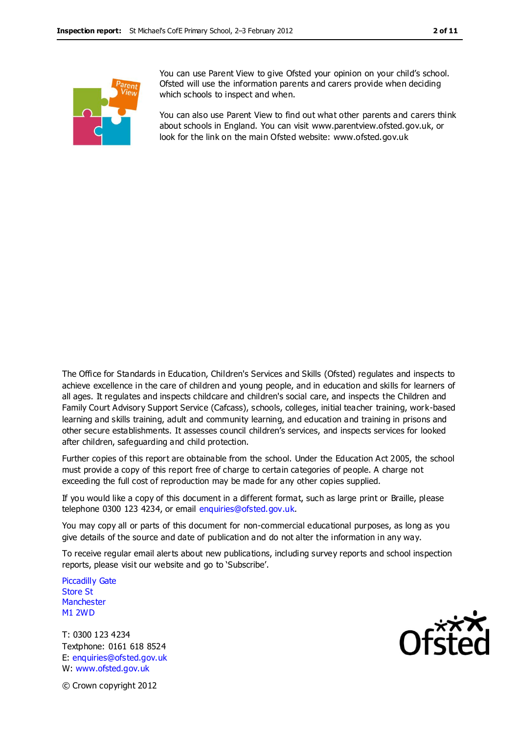

You can use Parent View to give Ofsted your opinion on your child's school. Ofsted will use the information parents and carers provide when deciding which schools to inspect and when.

You can also use Parent View to find out what other parents and carers think about schools in England. You can visit [www.parentview.ofsted.gov.uk,](http://www.parentview.ofsted.gov.uk/) or look for the link on the main Ofsted website: [www.ofsted.gov.uk](http://www.ofsted.gov.uk/)

The Office for Standards in Education, Children's Services and Skills (Ofsted) regulates and inspects to achieve excellence in the care of children and young people, and in education and skills for learners of all ages. It regulates and inspects childcare and children's social care, and inspects the Children and Family Court Advisory Support Service (Cafcass), schools, colleges, initial teacher training, work-based learning and skills training, adult and community learning, and education and training in prisons and other secure establishments. It assesses council children's services, and inspects services for looked after children, safeguarding and child protection.

Further copies of this report are obtainable from the school. Under the Education Act 2005, the school must provide a copy of this report free of charge to certain categories of people. A charge not exceeding the full cost of reproduction may be made for any other copies supplied.

If you would like a copy of this document in a different format, such as large print or Braille, please telephone 0300 123 4234, or email enquiries@ofsted.gov.uk.

You may copy all or parts of this document for non-commercial educational purposes, as long as you give details of the source and date of publication and do not alter the information in any way.

To receive regular email alerts about new publications, including survey reports and school inspection reports, please visit our website and go to 'Subscribe'.

Piccadilly Gate Store St **Manchester** M1 2WD

T: 0300 123 4234 Textphone: 0161 618 8524 E: enquiries@ofsted.gov.uk W: www.ofsted.gov.uk



© Crown copyright 2012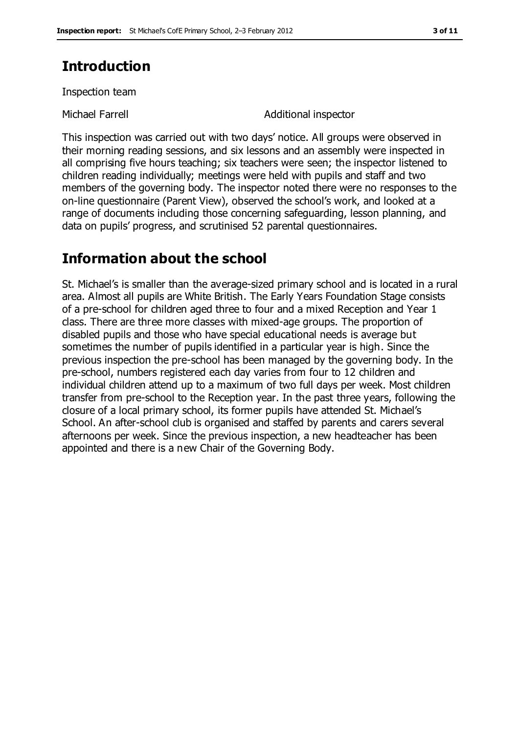### **Introduction**

Inspection team

Michael Farrell **Additional inspector** 

This inspection was carried out with two days' notice. All groups were observed in their morning reading sessions, and six lessons and an assembly were inspected in all comprising five hours teaching; six teachers were seen; the inspector listened to children reading individually; meetings were held with pupils and staff and two members of the governing body. The inspector noted there were no responses to the on-line questionnaire (Parent View), observed the school's work, and looked at a range of documents including those concerning safeguarding, lesson planning, and data on pupils' progress, and scrutinised 52 parental questionnaires.

### **Information about the school**

St. Michael's is smaller than the average-sized primary school and is located in a rural area. Almost all pupils are White British. The Early Years Foundation Stage consists of a pre-school for children aged three to four and a mixed Reception and Year 1 class. There are three more classes with mixed-age groups. The proportion of disabled pupils and those who have special educational needs is average but sometimes the number of pupils identified in a particular year is high. Since the previous inspection the pre-school has been managed by the governing body. In the pre-school, numbers registered each day varies from four to 12 children and individual children attend up to a maximum of two full days per week. Most children transfer from pre-school to the Reception year. In the past three years, following the closure of a local primary school, its former pupils have attended St. Michael's School. An after-school club is organised and staffed by parents and carers several afternoons per week. Since the previous inspection, a new headteacher has been appointed and there is a new Chair of the Governing Body.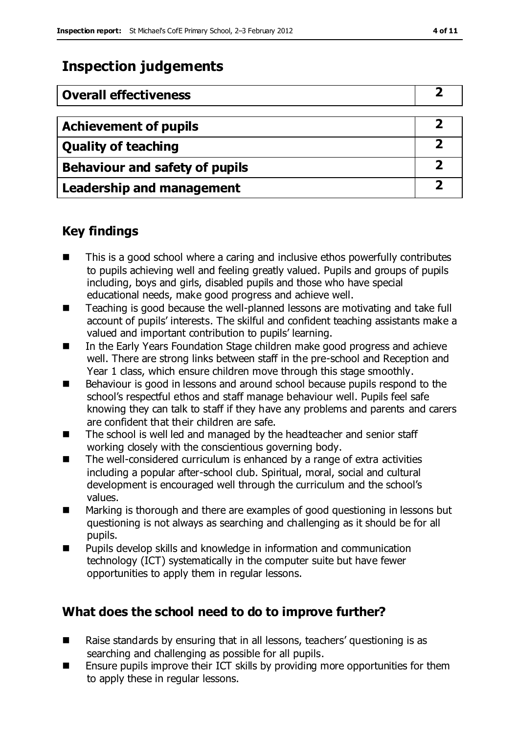### **Inspection judgements**

| <b>Overall effectiveness</b>          |  |
|---------------------------------------|--|
|                                       |  |
| <b>Achievement of pupils</b>          |  |
| <b>Quality of teaching</b>            |  |
| <b>Behaviour and safety of pupils</b> |  |
| <b>Leadership and management</b>      |  |

### **Key findings**

- This is a good school where a caring and inclusive ethos powerfully contributes to pupils achieving well and feeling greatly valued. Pupils and groups of pupils including, boys and girls, disabled pupils and those who have special educational needs, make good progress and achieve well.
- Teaching is good because the well-planned lessons are motivating and take full account of pupils' interests. The skilful and confident teaching assistants make a valued and important contribution to pupils' learning.
- In the Early Years Foundation Stage children make good progress and achieve well. There are strong links between staff in the pre-school and Reception and Year 1 class, which ensure children move through this stage smoothly.
- Behaviour is good in lessons and around school because pupils respond to the school's respectful ethos and staff manage behaviour well. Pupils feel safe knowing they can talk to staff if they have any problems and parents and carers are confident that their children are safe.
- The school is well led and managed by the headteacher and senior staff working closely with the conscientious governing body.
- The well-considered curriculum is enhanced by a range of extra activities including a popular after-school club. Spiritual, moral, social and cultural development is encouraged well through the curriculum and the school's values.
- Marking is thorough and there are examples of good questioning in lessons but questioning is not always as searching and challenging as it should be for all pupils.
- Pupils develop skills and knowledge in information and communication technology (ICT) systematically in the computer suite but have fewer opportunities to apply them in regular lessons.

### **What does the school need to do to improve further?**

- Raise standards by ensuring that in all lessons, teachers' questioning is as searching and challenging as possible for all pupils.
- **E** Ensure pupils improve their ICT skills by providing more opportunities for them to apply these in regular lessons.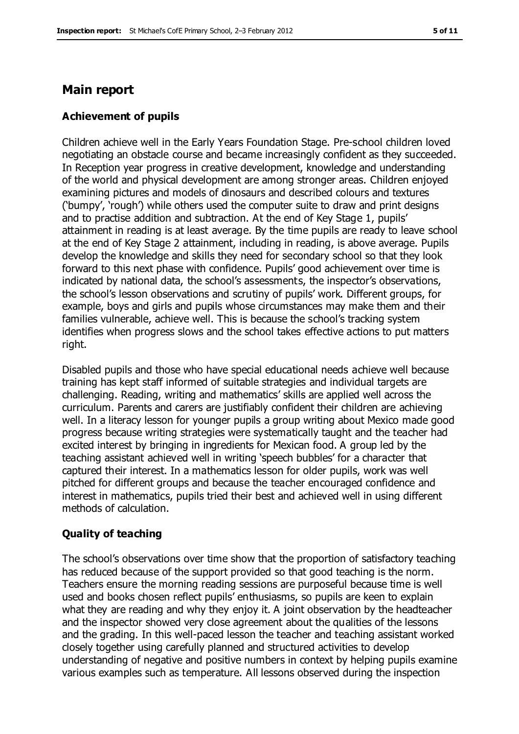#### **Main report**

#### **Achievement of pupils**

Children achieve well in the Early Years Foundation Stage. Pre-school children loved negotiating an obstacle course and became increasingly confident as they succeeded. In Reception year progress in creative development, knowledge and understanding of the world and physical development are among stronger areas. Children enjoyed examining pictures and models of dinosaurs and described colours and textures ('bumpy', 'rough') while others used the computer suite to draw and print designs and to practise addition and subtraction. At the end of Key Stage 1, pupils' attainment in reading is at least average. By the time pupils are ready to leave school at the end of Key Stage 2 attainment, including in reading, is above average. Pupils develop the knowledge and skills they need for secondary school so that they look forward to this next phase with confidence. Pupils' good achievement over time is indicated by national data, the school's assessments, the inspector's observations, the school's lesson observations and scrutiny of pupils' work. Different groups, for example, boys and girls and pupils whose circumstances may make them and their families vulnerable, achieve well. This is because the school's tracking system identifies when progress slows and the school takes effective actions to put matters right.

Disabled pupils and those who have special educational needs achieve well because training has kept staff informed of suitable strategies and individual targets are challenging. Reading, writing and mathematics' skills are applied well across the curriculum. Parents and carers are justifiably confident their children are achieving well. In a literacy lesson for younger pupils a group writing about Mexico made good progress because writing strategies were systematically taught and the teacher had excited interest by bringing in ingredients for Mexican food. A group led by the teaching assistant achieved well in writing 'speech bubbles' for a character that captured their interest. In a mathematics lesson for older pupils, work was well pitched for different groups and because the teacher encouraged confidence and interest in mathematics, pupils tried their best and achieved well in using different methods of calculation.

#### **Quality of teaching**

The school's observations over time show that the proportion of satisfactory teaching has reduced because of the support provided so that good teaching is the norm. Teachers ensure the morning reading sessions are purposeful because time is well used and books chosen reflect pupils' enthusiasms, so pupils are keen to explain what they are reading and why they enjoy it. A joint observation by the headteacher and the inspector showed very close agreement about the qualities of the lessons and the grading. In this well-paced lesson the teacher and teaching assistant worked closely together using carefully planned and structured activities to develop understanding of negative and positive numbers in context by helping pupils examine various examples such as temperature. All lessons observed during the inspection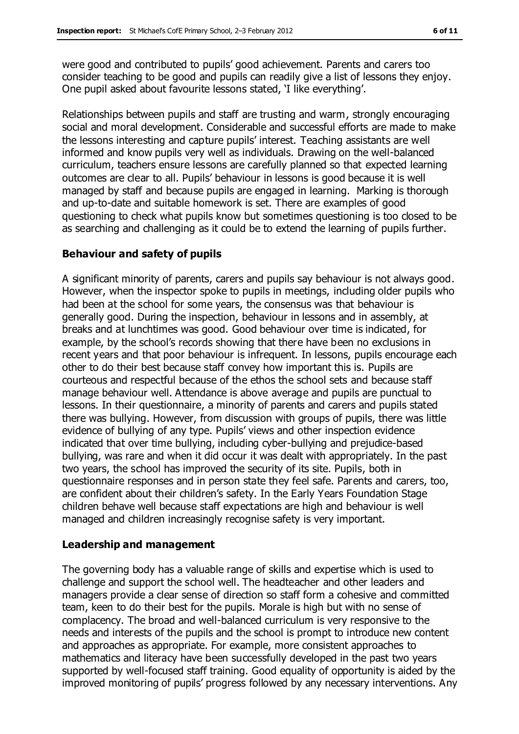were good and contributed to pupils' good achievement. Parents and carers too consider teaching to be good and pupils can readily give a list of lessons they enjoy. One pupil asked about favourite lessons stated, 'I like everything'.

Relationships between pupils and staff are trusting and warm, strongly encouraging social and moral development. Considerable and successful efforts are made to make the lessons interesting and capture pupils' interest. Teaching assistants are well informed and know pupils very well as individuals. Drawing on the well-balanced curriculum, teachers ensure lessons are carefully planned so that expected learning outcomes are clear to all. Pupils' behaviour in lessons is good because it is well managed by staff and because pupils are engaged in learning. Marking is thorough and up-to-date and suitable homework is set. There are examples of good questioning to check what pupils know but sometimes questioning is too closed to be as searching and challenging as it could be to extend the learning of pupils further.

#### **Behaviour and safety of pupils**

A significant minority of parents, carers and pupils say behaviour is not always good. However, when the inspector spoke to pupils in meetings, including older pupils who had been at the school for some years, the consensus was that behaviour is generally good. During the inspection, behaviour in lessons and in assembly, at breaks and at lunchtimes was good. Good behaviour over time is indicated, for example, by the school's records showing that there have been no exclusions in recent years and that poor behaviour is infrequent. In lessons, pupils encourage each other to do their best because staff convey how important this is. Pupils are courteous and respectful because of the ethos the school sets and because staff manage behaviour well. Attendance is above average and pupils are punctual to lessons. In their questionnaire, a minority of parents and carers and pupils stated there was bullying. However, from discussion with groups of pupils, there was little evidence of bullying of any type. Pupils' views and other inspection evidence indicated that over time bullying, including cyber-bullying and prejudice-based bullying, was rare and when it did occur it was dealt with appropriately. In the past two years, the school has improved the security of its site. Pupils, both in questionnaire responses and in person state they feel safe. Parents and carers, too, are confident about their children's safety. In the Early Years Foundation Stage children behave well because staff expectations are high and behaviour is well managed and children increasingly recognise safety is very important.

#### **Leadership and management**

The governing body has a valuable range of skills and expertise which is used to challenge and support the school well. The headteacher and other leaders and managers provide a clear sense of direction so staff form a cohesive and committed team, keen to do their best for the pupils. Morale is high but with no sense of complacency. The broad and well-balanced curriculum is very responsive to the needs and interests of the pupils and the school is prompt to introduce new content and approaches as appropriate. For example, more consistent approaches to mathematics and literacy have been successfully developed in the past two years supported by well-focused staff training. Good equality of opportunity is aided by the improved monitoring of pupils' progress followed by any necessary interventions. Any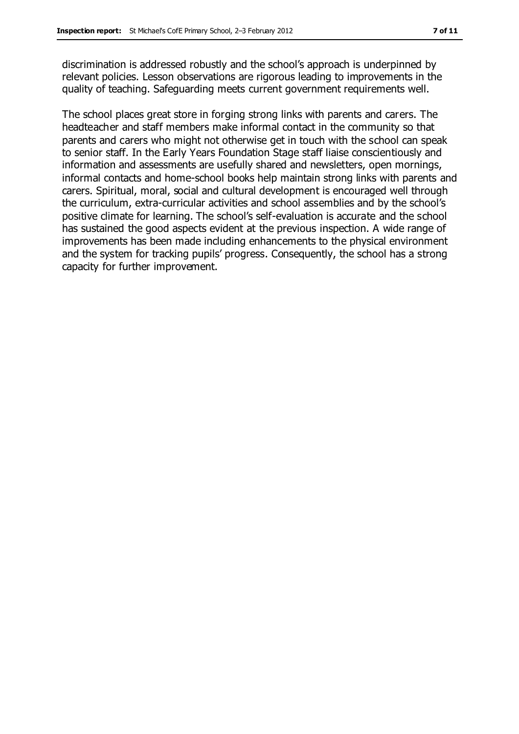discrimination is addressed robustly and the school's approach is underpinned by relevant policies. Lesson observations are rigorous leading to improvements in the quality of teaching. Safeguarding meets current government requirements well.

The school places great store in forging strong links with parents and carers. The headteacher and staff members make informal contact in the community so that parents and carers who might not otherwise get in touch with the school can speak to senior staff. In the Early Years Foundation Stage staff liaise conscientiously and information and assessments are usefully shared and newsletters, open mornings, informal contacts and home-school books help maintain strong links with parents and carers. Spiritual, moral, social and cultural development is encouraged well through the curriculum, extra-curricular activities and school assemblies and by the school's positive climate for learning. The school's self-evaluation is accurate and the school has sustained the good aspects evident at the previous inspection. A wide range of improvements has been made including enhancements to the physical environment and the system for tracking pupils' progress. Consequently, the school has a strong capacity for further improvement.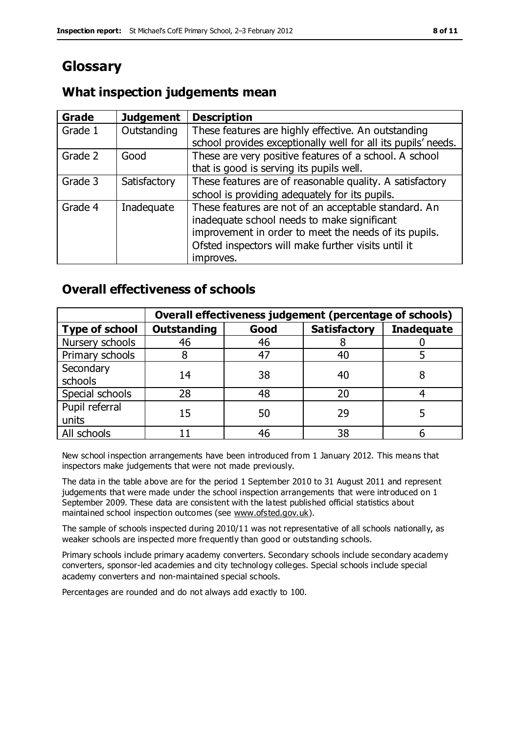### **Glossary**

#### **What inspection judgements mean**

| <b>Grade</b> | <b>Judgement</b> | <b>Description</b>                                                                                                                                                                                                               |
|--------------|------------------|----------------------------------------------------------------------------------------------------------------------------------------------------------------------------------------------------------------------------------|
| Grade 1      | Outstanding      | These features are highly effective. An outstanding<br>school provides exceptionally well for all its pupils' needs.                                                                                                             |
| Grade 2      | Good             | These are very positive features of a school. A school<br>that is good is serving its pupils well.                                                                                                                               |
| Grade 3      | Satisfactory     | These features are of reasonable quality. A satisfactory<br>school is providing adequately for its pupils.                                                                                                                       |
| Grade 4      | Inadequate       | These features are not of an acceptable standard. An<br>inadequate school needs to make significant<br>improvement in order to meet the needs of its pupils.<br>Ofsted inspectors will make further visits until it<br>improves. |

### **Overall effectiveness of schools**

|                         | Overall effectiveness judgement (percentage of schools) |      |                     |                   |
|-------------------------|---------------------------------------------------------|------|---------------------|-------------------|
| <b>Type of school</b>   | <b>Outstanding</b>                                      | Good | <b>Satisfactory</b> | <b>Inadequate</b> |
| Nursery schools         | 46                                                      | 46   |                     |                   |
| Primary schools         |                                                         | 47   | 40                  |                   |
| Secondary<br>schools    | 14                                                      | 38   | 40                  |                   |
| Special schools         | 28                                                      | 48   | 20                  |                   |
| Pupil referral<br>units | 15                                                      | 50   | 29                  |                   |
| All schools             |                                                         | 46   | 38                  |                   |

New school inspection arrangements have been introduced from 1 January 2012. This means that inspectors make judgements that were not made previously.

The data in the table above are for the period 1 September 2010 to 31 August 2011 and represent judgements that were made under the school inspection arrangements that were introduced on 1 September 2009. These data are consistent with the latest published official statistics about maintained school inspection outcomes (see [www.ofsted.gov.uk\)](http://www.ofsted.gov.uk/).

The sample of schools inspected during 2010/11 was not representative of all schools nationally, as weaker schools are inspected more frequently than good or outstanding schools.

Primary schools include primary academy converters. Secondary schools include secondary academy converters, sponsor-led academies and city technology colleges. Special schools include special academy converters and non-maintained special schools.

Percentages are rounded and do not always add exactly to 100.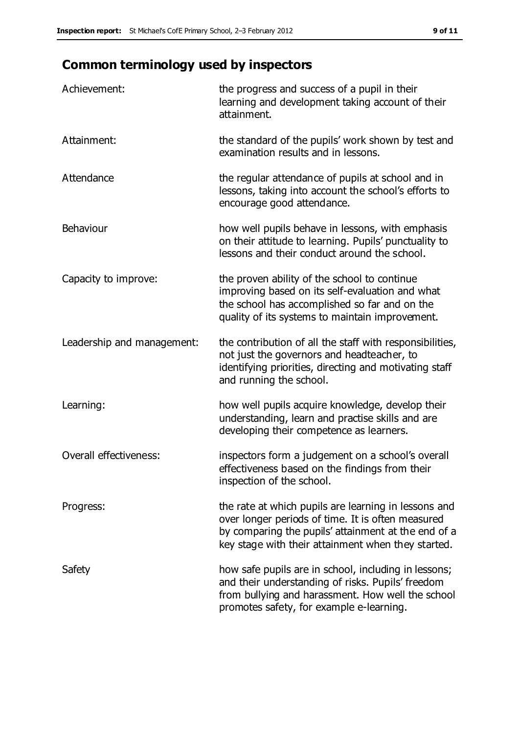## **Common terminology used by inspectors**

| Achievement:                  | the progress and success of a pupil in their<br>learning and development taking account of their<br>attainment.                                                                                                        |
|-------------------------------|------------------------------------------------------------------------------------------------------------------------------------------------------------------------------------------------------------------------|
| Attainment:                   | the standard of the pupils' work shown by test and<br>examination results and in lessons.                                                                                                                              |
| Attendance                    | the regular attendance of pupils at school and in<br>lessons, taking into account the school's efforts to<br>encourage good attendance.                                                                                |
| Behaviour                     | how well pupils behave in lessons, with emphasis<br>on their attitude to learning. Pupils' punctuality to<br>lessons and their conduct around the school.                                                              |
| Capacity to improve:          | the proven ability of the school to continue<br>improving based on its self-evaluation and what<br>the school has accomplished so far and on the<br>quality of its systems to maintain improvement.                    |
| Leadership and management:    | the contribution of all the staff with responsibilities,<br>not just the governors and headteacher, to<br>identifying priorities, directing and motivating staff<br>and running the school.                            |
| Learning:                     | how well pupils acquire knowledge, develop their<br>understanding, learn and practise skills and are<br>developing their competence as learners.                                                                       |
| <b>Overall effectiveness:</b> | inspectors form a judgement on a school's overall<br>effectiveness based on the findings from their<br>inspection of the school.                                                                                       |
| Progress:                     | the rate at which pupils are learning in lessons and<br>over longer periods of time. It is often measured<br>by comparing the pupils' attainment at the end of a<br>key stage with their attainment when they started. |
| Safety                        | how safe pupils are in school, including in lessons;<br>and their understanding of risks. Pupils' freedom<br>from bullying and harassment. How well the school<br>promotes safety, for example e-learning.             |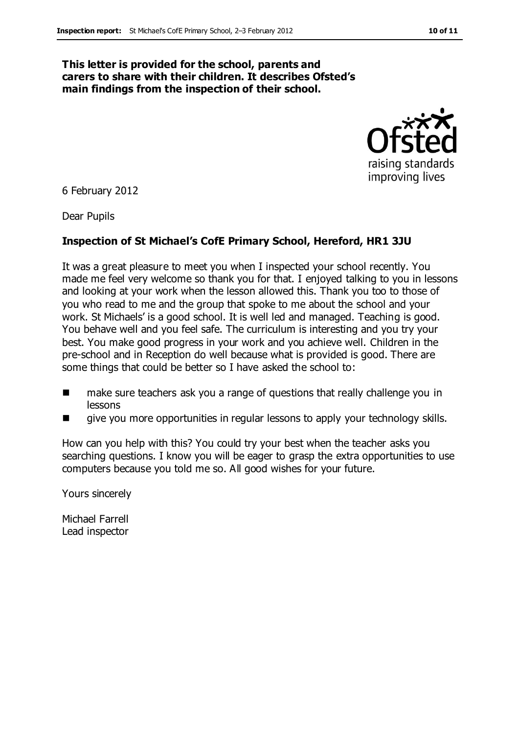#### **This letter is provided for the school, parents and carers to share with their children. It describes Ofsted's main findings from the inspection of their school.**



6 February 2012

Dear Pupils

#### **Inspection of St Michael's CofE Primary School, Hereford, HR1 3JU**

It was a great pleasure to meet you when I inspected your school recently. You made me feel very welcome so thank you for that. I enjoyed talking to you in lessons and looking at your work when the lesson allowed this. Thank you too to those of you who read to me and the group that spoke to me about the school and your work. St Michaels' is a good school. It is well led and managed. Teaching is good. You behave well and you feel safe. The curriculum is interesting and you try your best. You make good progress in your work and you achieve well. Children in the pre-school and in Reception do well because what is provided is good. There are some things that could be better so I have asked the school to:

- make sure teachers ask you a range of questions that really challenge you in lessons
- give you more opportunities in regular lessons to apply your technology skills.

How can you help with this? You could try your best when the teacher asks you searching questions. I know you will be eager to grasp the extra opportunities to use computers because you told me so. All good wishes for your future.

Yours sincerely

Michael Farrell Lead inspector